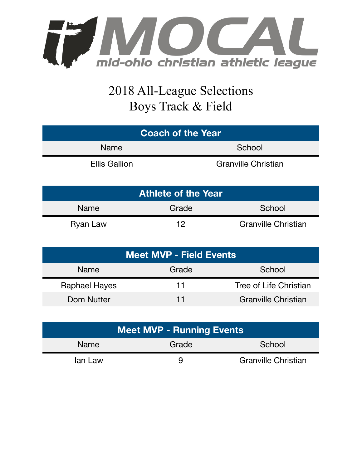

## 2018 All-League Selections Boys Track & Field

| <b>Coach of the Year</b> |                            |  |  |
|--------------------------|----------------------------|--|--|
| Name                     | School                     |  |  |
| <b>Ellis Gallion</b>     | <b>Granville Christian</b> |  |  |

| <b>Athlete of the Year</b> |       |                            |  |  |  |
|----------------------------|-------|----------------------------|--|--|--|
| Name                       | Grade | School                     |  |  |  |
| Ryan Law                   | 19    | <b>Granville Christian</b> |  |  |  |

| Meet MVP - Field Events |       |                            |  |  |
|-------------------------|-------|----------------------------|--|--|
| Name                    | Grade | School                     |  |  |
| <b>Raphael Hayes</b>    | 11    | Tree of Life Christian     |  |  |
| Dom Nutter              | 11    | <b>Granville Christian</b> |  |  |

| <b>Meet MVP - Running Events</b> |       |                            |  |  |
|----------------------------------|-------|----------------------------|--|--|
| <b>Name</b>                      | Grade | School                     |  |  |
| lan Law                          | ч     | <b>Granville Christian</b> |  |  |